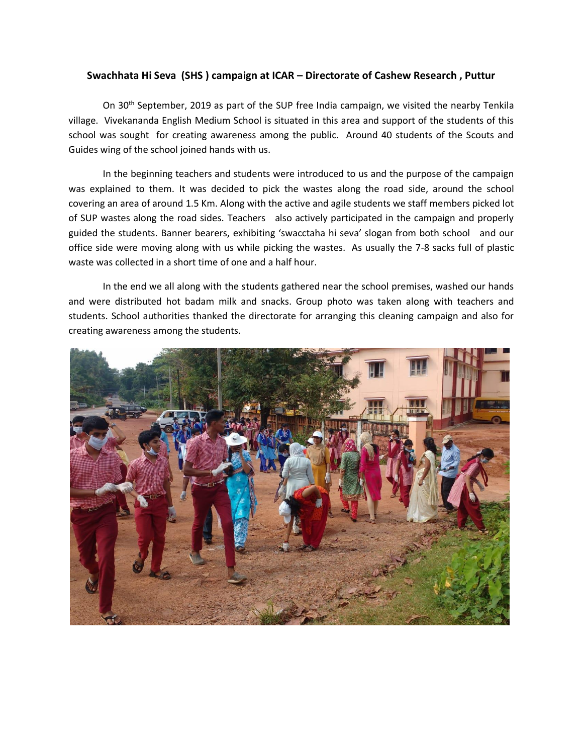## **Swachhata Hi Seva (SHS ) campaign at ICAR – Directorate of Cashew Research , Puttur**

On 30<sup>th</sup> September, 2019 as part of the SUP free India campaign, we visited the nearby Tenkila village. Vivekananda English Medium School is situated in this area and support of the students of this school was sought for creating awareness among the public. Around 40 students of the Scouts and Guides wing of the school joined hands with us.

In the beginning teachers and students were introduced to us and the purpose of the campaign was explained to them. It was decided to pick the wastes along the road side, around the school covering an area of around 1.5 Km. Along with the active and agile students we staff members picked lot of SUP wastes along the road sides. Teachers also actively participated in the campaign and properly guided the students. Banner bearers, exhibiting 'swacctaha hi seva' slogan from both school and our office side were moving along with us while picking the wastes. As usually the 7-8 sacks full of plastic waste was collected in a short time of one and a half hour.

In the end we all along with the students gathered near the school premises, washed our hands and were distributed hot badam milk and snacks. Group photo was taken along with teachers and students. School authorities thanked the directorate for arranging this cleaning campaign and also for creating awareness among the students.